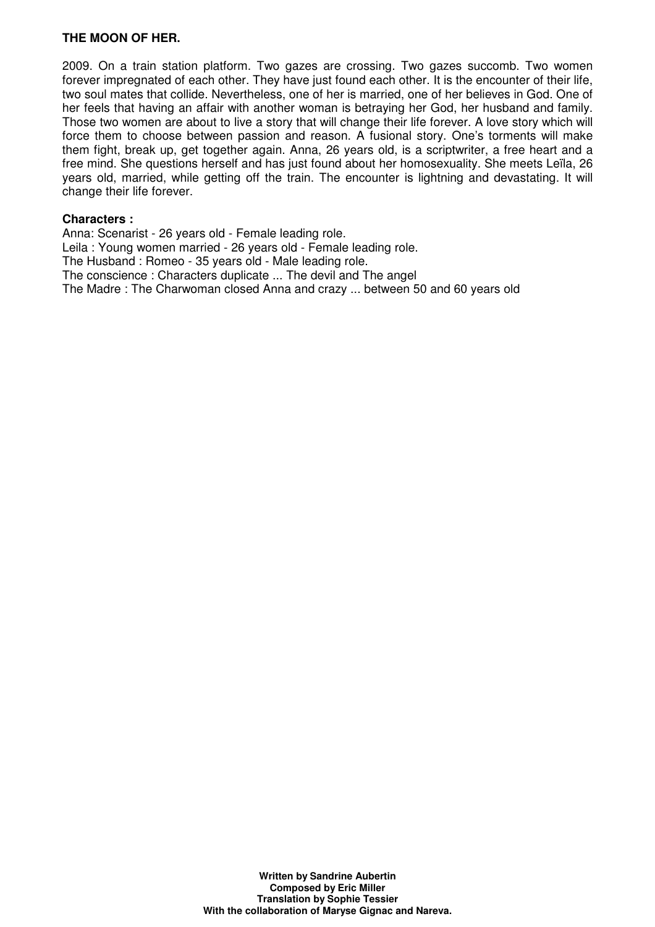# **THE MOON OF HER.**

2009. On a train station platform. Two gazes are crossing. Two gazes succomb. Two women forever impregnated of each other. They have just found each other. It is the encounter of their life, two soul mates that collide. Nevertheless, one of her is married, one of her believes in God. One of her feels that having an affair with another woman is betraying her God, her husband and family. Those two women are about to live a story that will change their life forever. A love story which will force them to choose between passion and reason. A fusional story. One's torments will make them fight, break up, get together again. Anna, 26 years old, is a scriptwriter, a free heart and a free mind. She questions herself and has just found about her homosexuality. She meets Leïla, 26 years old, married, while getting off the train. The encounter is lightning and devastating. It will change their life forever.

#### **Characters :**

Anna: Scenarist - 26 years old - Female leading role. Leila : Young women married - 26 years old - Female leading role. The Husband : Romeo - 35 years old - Male leading role. The conscience : Characters duplicate ... The devil and The angel The Madre : The Charwoman closed Anna and crazy ... between 50 and 60 years old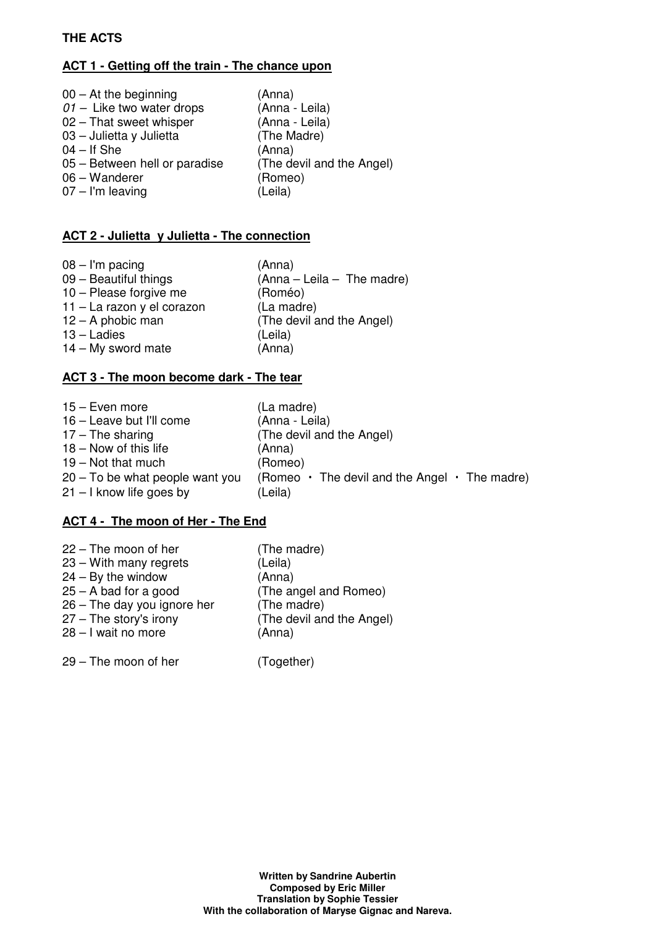# **THE ACTS**

# **ACT 1 - Getting off the train - The chance upon**

| $00 - At$ the beginning       | (Anna)                    |
|-------------------------------|---------------------------|
| $01 -$ Like two water drops   | (Anna - Leila)            |
| 02 - That sweet whisper       | (Anna - Leila)            |
| 03 - Julietta y Julietta      | (The Madre)               |
| $04 - If She$                 | (Anna)                    |
| 05 – Between hell or paradise | (The devil and the Angel) |
| 06 - Wanderer                 | (Romeo)                   |
| $07 - I'm$ leaving            | (Leila)                   |

# **ACT 2 - Julietta y Julietta - The connection**

| $08 - I'm$ pacing          | (Anna)                       |
|----------------------------|------------------------------|
| 09 - Beautiful things      | $(Anna - Leila - The madre)$ |
| 10 - Please forgive me     | (Roméo)                      |
| 11 - La razon y el corazon | (La madre)                   |
| $12 - A$ phobic man        | (The devil and the Angel)    |
| $13 -$ Ladies              | (Leila)                      |
| $14 - My$ sword mate       | (Anna)                       |

# **ACT 3 - The moon become dark - The tear**

| 15 - Even more                    | (La madre)                                                |
|-----------------------------------|-----------------------------------------------------------|
| 16 - Leave but I'll come          | (Anna - Leila)                                            |
| $17 -$ The sharing                | (The devil and the Angel)                                 |
| $18 -$ Now of this life           | (Anna)                                                    |
| $19 - Not that much$              | (Romeo)                                                   |
| $20 - To$ be what people want you | (Romeo $\cdot$ The devil and the Angel $\cdot$ The madre) |
| $21 - I$ know life goes by        | (Leila)                                                   |

# **ACT 4 - The moon of Her - The End**

| $22 -$ The moon of her        | (The madre)               |
|-------------------------------|---------------------------|
| $23 -$ With many regrets      | (Leila)                   |
| $24 - By$ the window          | (Anna)                    |
| $25 - A$ bad for a good       | (The angel and Romeo)     |
| $26$ – The day you ignore her | (The madre)               |
| 27 - The story's irony        | (The devil and the Angel) |
| 28 - I wait no more           | (Anna)                    |
|                               |                           |

29 – The moon of her (Together)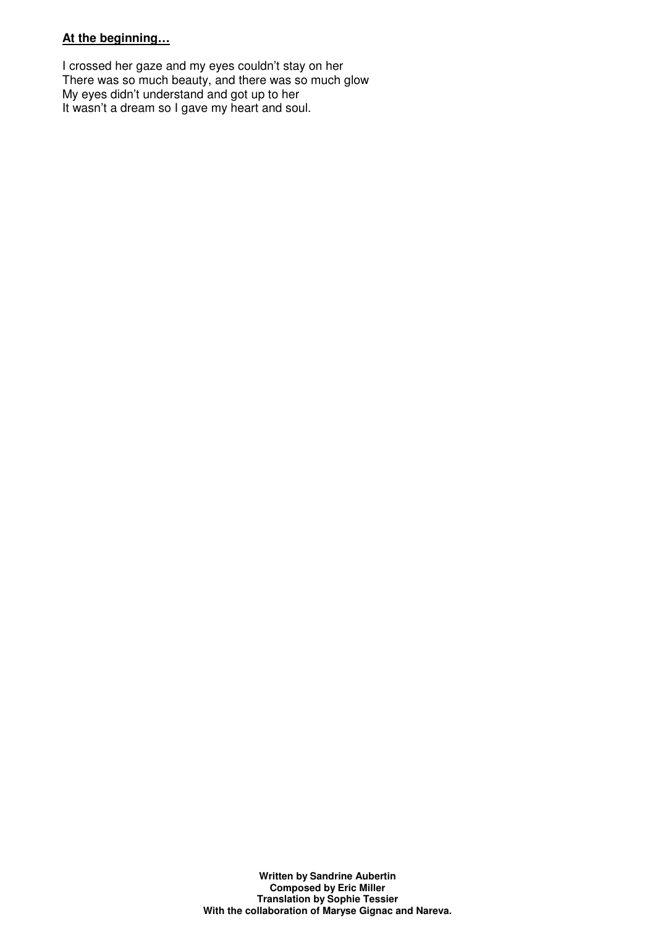# **At the beginning…**

I crossed her gaze and my eyes couldn't stay on her There was so much beauty, and there was so much glow My eyes didn't understand and got up to her It wasn't a dream so I gave my heart and soul.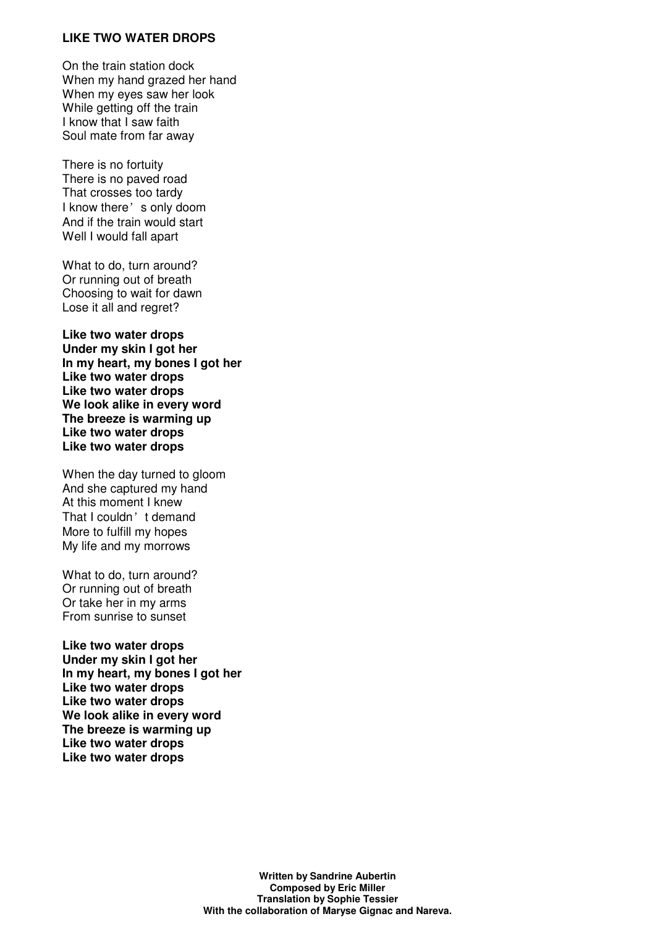# **LIKE TWO WATER DROPS**

On the train station dock When my hand grazed her hand When my eyes saw her look While getting off the train I know that I saw faith Soul mate from far away

There is no fortuity There is no paved road That crosses too tardy I know there's only doom And if the train would start Well I would fall apart

What to do, turn around? Or running out of breath Choosing to wait for dawn Lose it all and regret?

**Like two water drops Under my skin I got her In my heart, my bones I got her Like two water drops Like two water drops We look alike in every word The breeze is warming up Like two water drops Like two water drops**

When the day turned to gloom And she captured my hand At this moment I knew That I couldn't demand More to fulfill my hopes My life and my morrows

What to do, turn around? Or running out of breath Or take her in my arms From sunrise to sunset

**Like two water drops Under my skin I got her In my heart, my bones I got her Like two water drops Like two water drops We look alike in every word The breeze is warming up Like two water drops Like two water drops**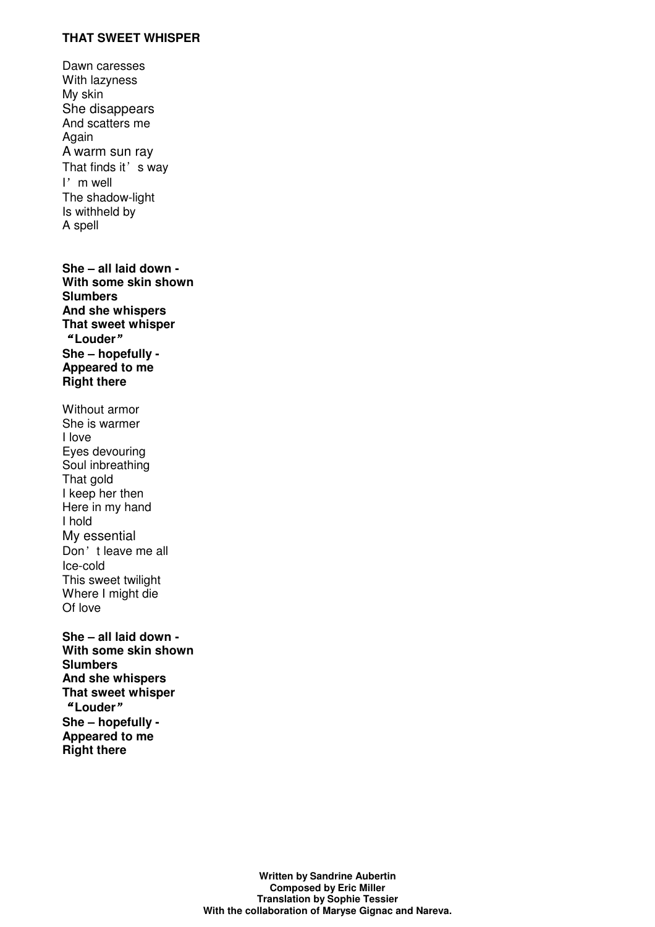### **THAT SWEET WHISPER**

Dawn caresses With lazyness My skin She disappears And scatters me Again A warm sun ray That finds it's way I'm well The shadow-light Is withheld by A spell

**She – all laid down - With some skin shown Slumbers And she whispers That sweet whisper**  "**Louder**" **She – hopefully - Appeared to me Right there** 

Without armor She is warmer I love Eyes devouring Soul inbreathing That gold I keep her then Here in my hand I hold My essential Don't leave me all Ice-cold This sweet twilight Where I might die Of love

**She – all laid down - With some skin shown Slumbers And she whispers That sweet whisper**  "**Louder**" **She – hopefully - Appeared to me Right there** 

> **Written by Sandrine Aubertin Composed by Eric Miller Translation by Sophie Tessier With the collaboration of Maryse Gignac and Nareva.**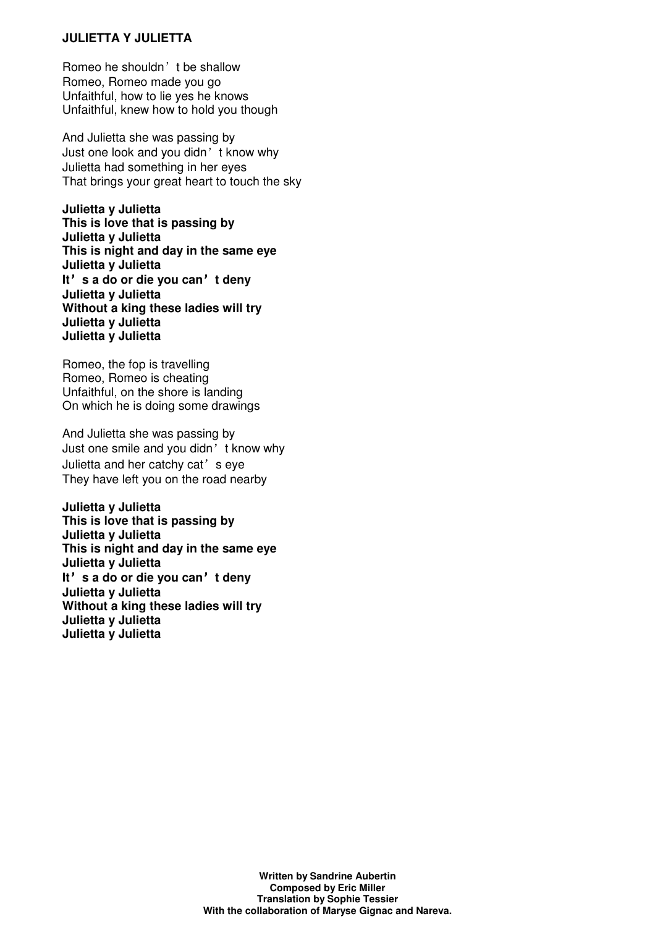# **JULIETTA Y JULIETTA**

Romeo he shouldn't be shallow Romeo, Romeo made you go Unfaithful, how to lie yes he knows Unfaithful, knew how to hold you though

And Julietta she was passing by Just one look and you didn't know why Julietta had something in her eyes That brings your great heart to touch the sky

**Julietta y Julietta This is love that is passing by Julietta y Julietta This is night and day in the same eye Julietta y Julietta It**'**s a do or die you can**'**t deny Julietta y Julietta Without a king these ladies will try Julietta y Julietta Julietta y Julietta** 

Romeo, the fop is travelling Romeo, Romeo is cheating Unfaithful, on the shore is landing On which he is doing some drawings

And Julietta she was passing by Just one smile and you didn't know why Julietta and her catchy cat's eye They have left you on the road nearby

**Julietta y Julietta This is love that is passing by Julietta y Julietta This is night and day in the same eye Julietta y Julietta It**'**s a do or die you can**'**t deny Julietta y Julietta Without a king these ladies will try Julietta y Julietta Julietta y Julietta**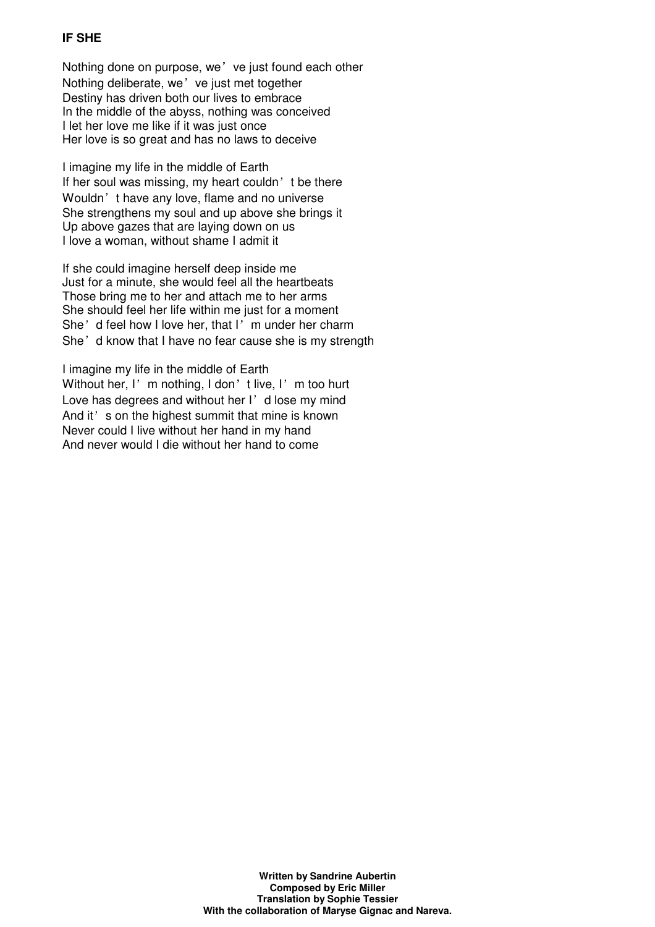# **IF SHE**

Nothing done on purpose, we've just found each other Nothing deliberate, we' ve just met together Destiny has driven both our lives to embrace In the middle of the abyss, nothing was conceived I let her love me like if it was just once Her love is so great and has no laws to deceive

I imagine my life in the middle of Earth If her soul was missing, my heart couldn't be there Wouldn't have any love, flame and no universe She strengthens my soul and up above she brings it Up above gazes that are laying down on us I love a woman, without shame I admit it

If she could imagine herself deep inside me Just for a minute, she would feel all the heartbeats Those bring me to her and attach me to her arms She should feel her life within me just for a moment She'd feel how I love her, that I'm under her charm She'd know that I have no fear cause she is my strength

I imagine my life in the middle of Earth Without her, I'm nothing, I don't live, I'm too hurt Love has degrees and without her  $I'$  d lose my mind And it's on the highest summit that mine is known Never could I live without her hand in my hand And never would I die without her hand to come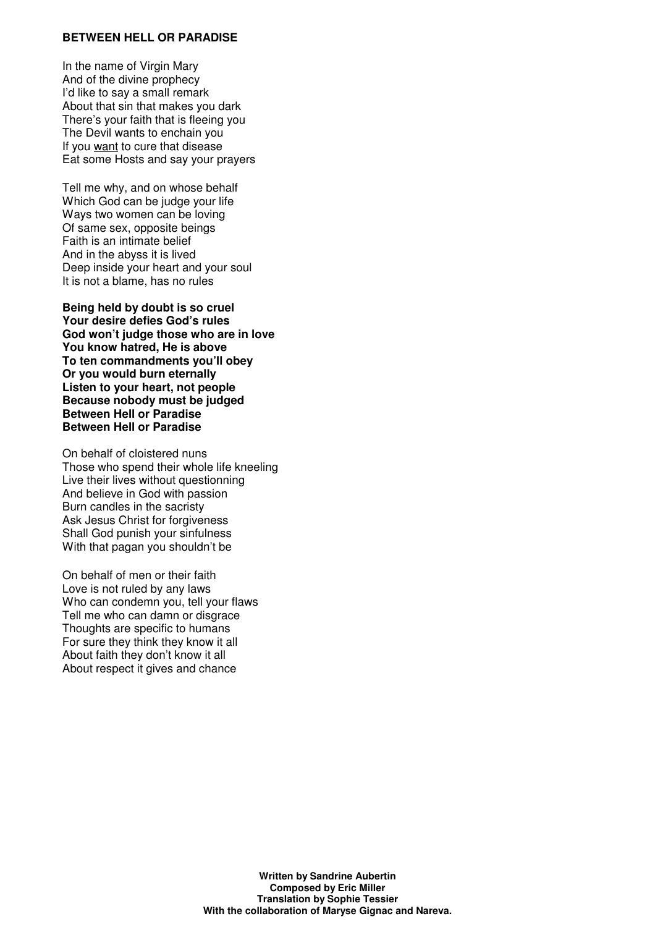#### **BETWEEN HELL OR PARADISE**

In the name of Virgin Mary And of the divine prophecy I'd like to say a small remark About that sin that makes you dark There's your faith that is fleeing you The Devil wants to enchain you If you want to cure that disease Eat some Hosts and say your prayers

Tell me why, and on whose behalf Which God can be judge your life Ways two women can be loving Of same sex, opposite beings Faith is an intimate belief And in the abyss it is lived Deep inside your heart and your soul It is not a blame, has no rules

**Being held by doubt is so cruel Your desire defies God's rules God won't judge those who are in love You know hatred, He is above To ten commandments you'll obey Or you would burn eternally Listen to your heart, not people Because nobody must be judged Between Hell or Paradise Between Hell or Paradise** 

On behalf of cloistered nuns Those who spend their whole life kneeling Live their lives without questionning And believe in God with passion Burn candles in the sacristy Ask Jesus Christ for forgiveness Shall God punish your sinfulness With that pagan you shouldn't be

On behalf of men or their faith Love is not ruled by any laws Who can condemn you, tell your flaws Tell me who can damn or disgrace Thoughts are specific to humans For sure they think they know it all About faith they don't know it all About respect it gives and chance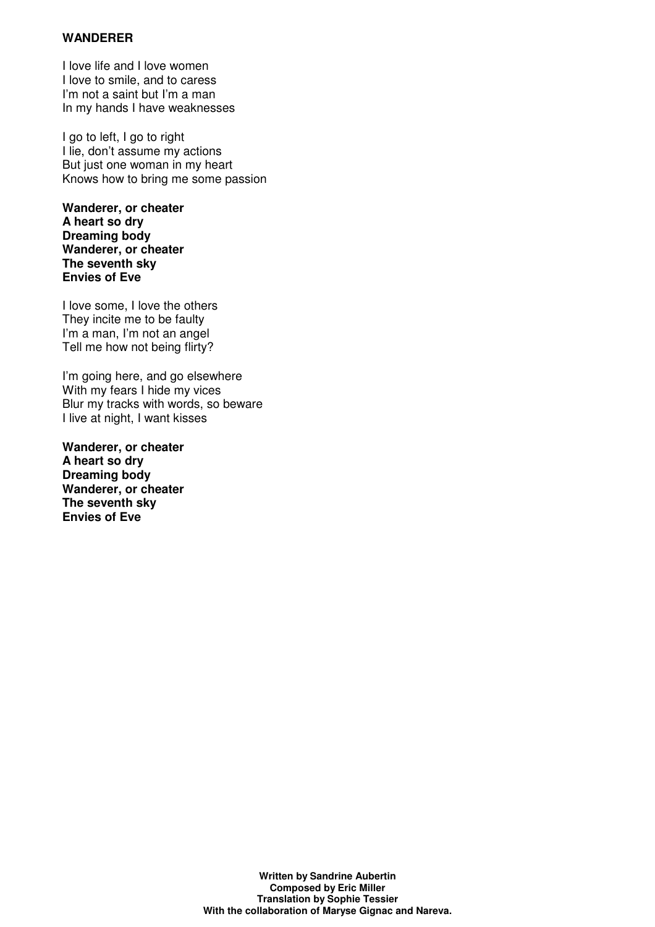# **WANDERER**

I love life and I love women I love to smile, and to caress I'm not a saint but I'm a man In my hands I have weaknesses

I go to left, I go to right I lie, don't assume my actions But just one woman in my heart Knows how to bring me some passion

**Wanderer, or cheater A heart so dry Dreaming body Wanderer, or cheater The seventh sky Envies of Eve**

I love some, I love the others They incite me to be faulty I'm a man, I'm not an angel Tell me how not being flirty?

I'm going here, and go elsewhere With my fears I hide my vices Blur my tracks with words, so beware I live at night, I want kisses

**Wanderer, or cheater A heart so dry Dreaming body Wanderer, or cheater The seventh sky Envies of Eve**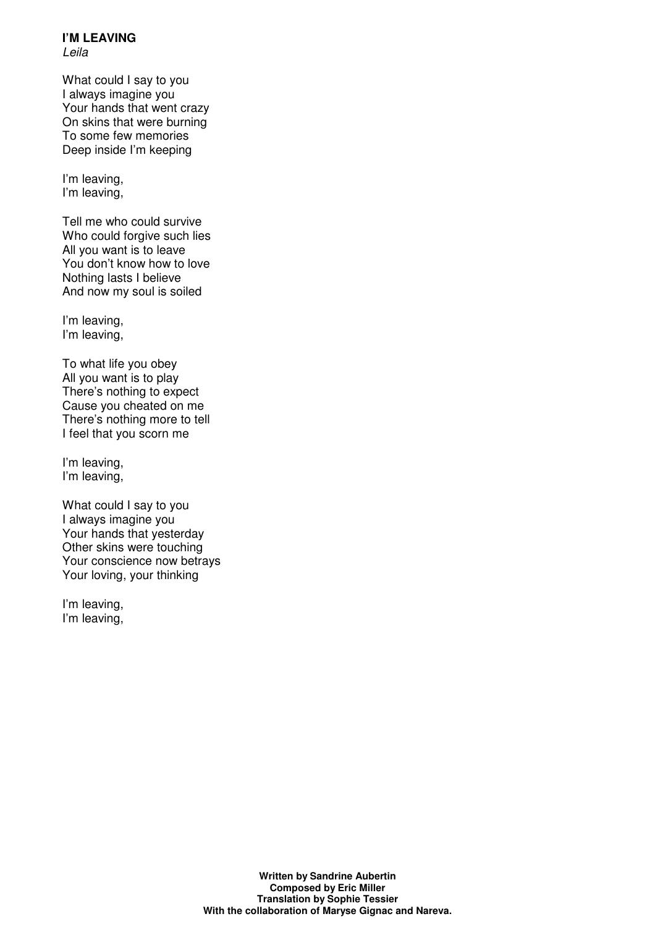#### **I'M LEAVING**  Leila

What could I say to you I always imagine you Your hands that went crazy On skins that were burning To some few memories Deep inside I'm keeping

I'm leaving, I'm leaving,

Tell me who could survive Who could forgive such lies All you want is to leave You don't know how to love Nothing lasts I believe And now my soul is soiled

I'm leaving, I'm leaving,

To what life you obey All you want is to play There's nothing to expect Cause you cheated on me There's nothing more to tell I feel that you scorn me

I'm leaving, I'm leaving,

What could I say to you I always imagine you Your hands that yesterday Other skins were touching Your conscience now betrays Your loving, your thinking

I'm leaving, I'm leaving,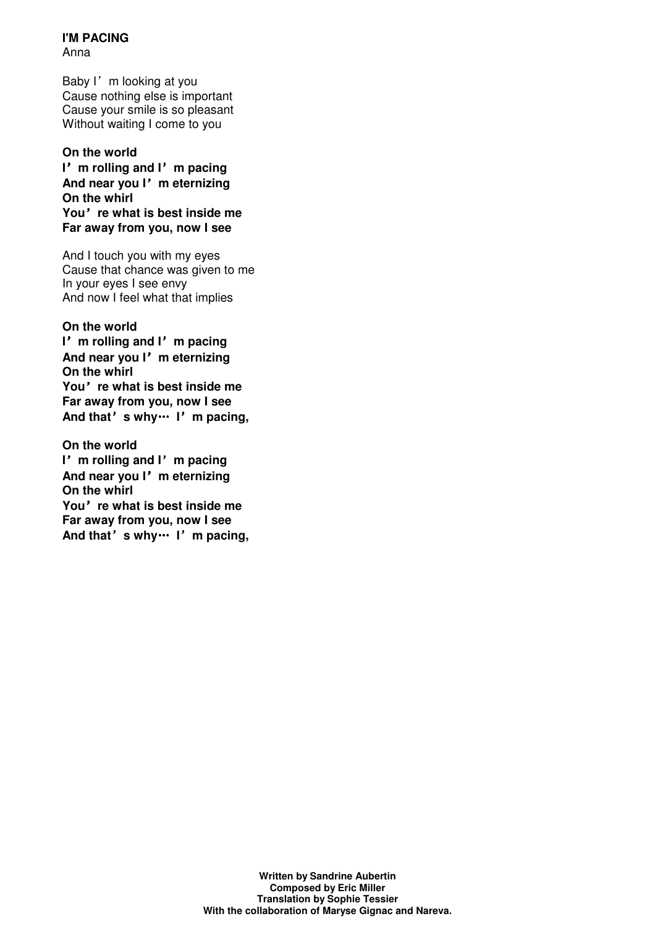**I'M PACING**  Anna

Baby I'm looking at you Cause nothing else is important Cause your smile is so pleasant Without waiting I come to you

**On the world I**'**m rolling and I**'**m pacing And near you I**'**m eternizing On the whirl You**'**re what is best inside me Far away from you, now I see**

And I touch you with my eyes Cause that chance was given to me In your eyes I see envy And now I feel what that implies

**On the world I**'**m rolling and I**'**m pacing And near you I**'**m eternizing On the whirl You**'**re what is best inside me Far away from you, now I see And that**'**s why**… **I**'**m pacing,**

**On the world I**'**m rolling and I**'**m pacing And near you I**'**m eternizing On the whirl You**'**re what is best inside me Far away from you, now I see And that**'**s why**… **I**'**m pacing,**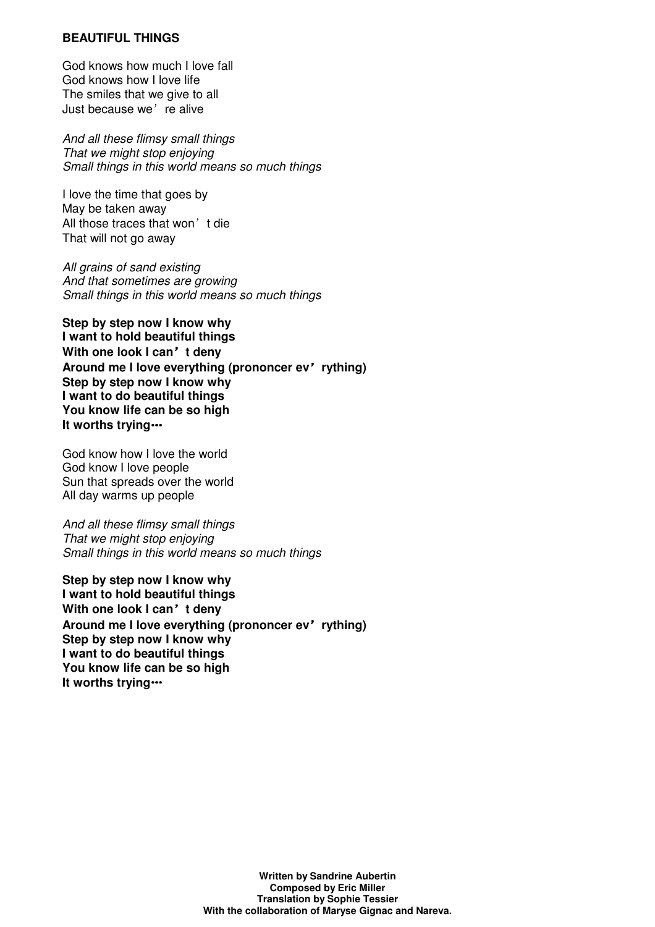#### **BEAUTIFUL THINGS**

God knows how much I love fall God knows how I love life The smiles that we give to all Just because we're alive

And all these flimsy small things That we might stop enjoving Small things in this world means so much things

I love the time that goes by May be taken away All those traces that won't die That will not go away

All grains of sand existing And that sometimes are growing Small things in this world means so much things

**Step by step now I know why I want to hold beautiful things With one look I can**'**t deny Around me I love everything (prononcer ev**'**rything) Step by step now I know why I want to do beautiful things You know life can be so high It worths trying**…

God know how I love the world God know I love people Sun that spreads over the world All day warms up people

And all these flimsy small things That we might stop enjoying Small things in this world means so much things

**Step by step now I know why I want to hold beautiful things With one look I can**'**t deny Around me I love everything (prononcer ev**'**rything) Step by step now I know why I want to do beautiful things You know life can be so high It worths trying**…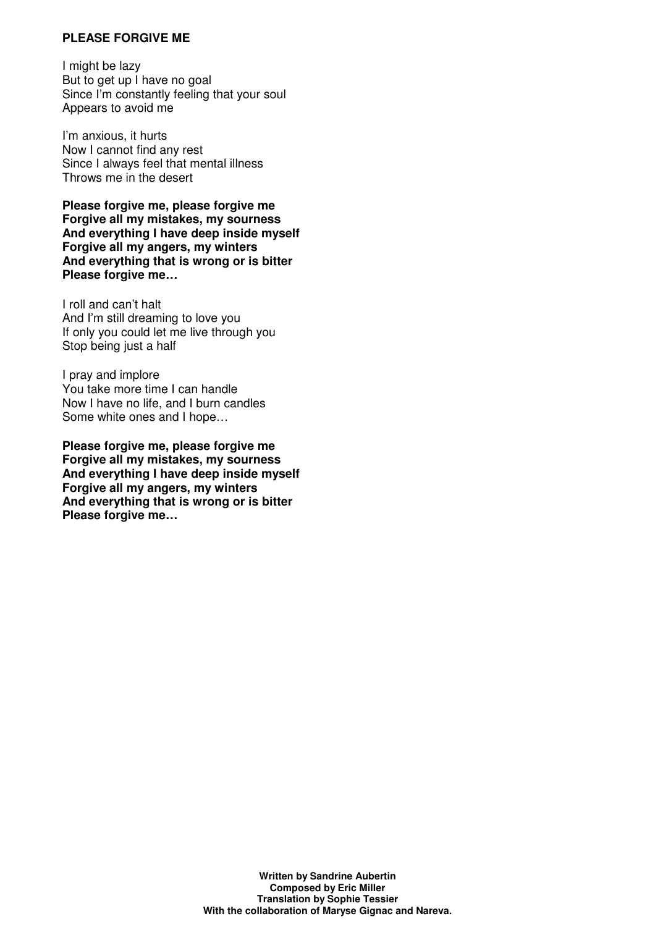### **PLEASE FORGIVE ME**

I might be lazy But to get up I have no goal Since I'm constantly feeling that your soul Appears to avoid me

I'm anxious, it hurts Now I cannot find any rest Since I always feel that mental illness Throws me in the desert

**Please forgive me, please forgive me Forgive all my mistakes, my sourness And everything I have deep inside myself Forgive all my angers, my winters And everything that is wrong or is bitter Please forgive me…**

I roll and can't halt And I'm still dreaming to love you If only you could let me live through you Stop being just a half

I pray and implore You take more time I can handle Now I have no life, and I burn candles Some white ones and I hope…

**Please forgive me, please forgive me Forgive all my mistakes, my sourness And everything I have deep inside myself Forgive all my angers, my winters And everything that is wrong or is bitter Please forgive me…**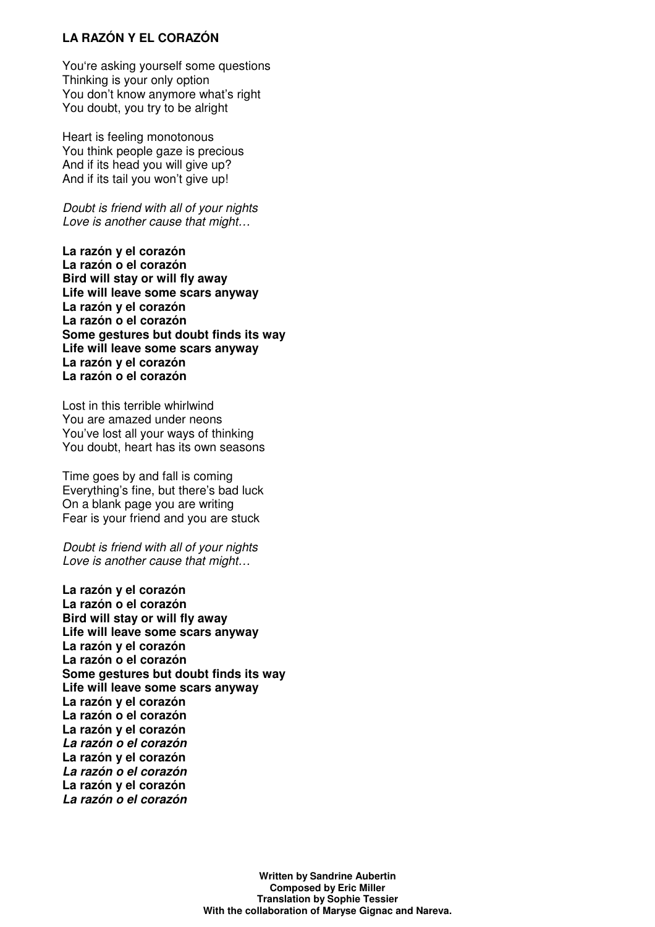# **LA RAZÓN Y EL CORAZÓN**

You're asking yourself some questions Thinking is your only option You don't know anymore what's right You doubt, you try to be alright

Heart is feeling monotonous You think people gaze is precious And if its head you will give up? And if its tail you won't give up!

Doubt is friend with all of your nights Love is another cause that might…

**La razón y el corazón La razón o el corazón Bird will stay or will fly away Life will leave some scars anyway La razón y el corazón La razón o el corazón Some gestures but doubt finds its way Life will leave some scars anyway La razón y el corazón La razón o el corazón**

Lost in this terrible whirlwind You are amazed under neons You've lost all your ways of thinking You doubt, heart has its own seasons

Time goes by and fall is coming Everything's fine, but there's bad luck On a blank page you are writing Fear is your friend and you are stuck

Doubt is friend with all of your nights Love is another cause that might…

**La razón y el corazón La razón o el corazón Bird will stay or will fly away Life will leave some scars anyway La razón y el corazón La razón o el corazón Some gestures but doubt finds its way Life will leave some scars anyway La razón y el corazón La razón o el corazón La razón y el corazón La razón o el corazón La razón y el corazón La razón o el corazón La razón y el corazón La razón o el corazón**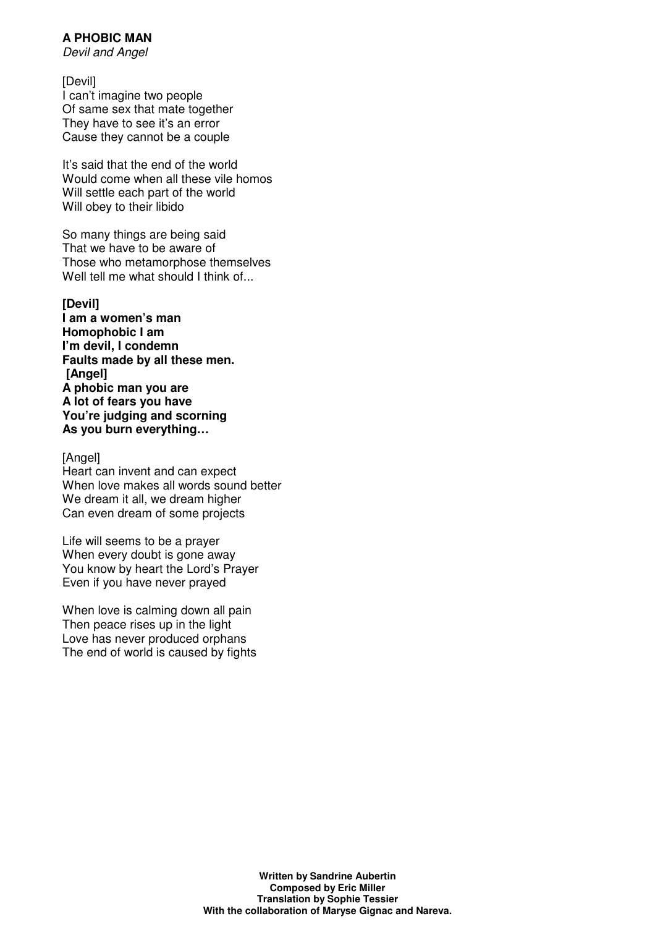# **A PHOBIC MAN**

Devil and Angel

[Devil] I can't imagine two people Of same sex that mate together They have to see it's an error Cause they cannot be a couple

It's said that the end of the world Would come when all these vile homos Will settle each part of the world Will obey to their libido

So many things are being said That we have to be aware of Those who metamorphose themselves Well tell me what should I think of...

**[Devil] I am a women's man Homophobic I am I'm devil, I condemn Faults made by all these men. [Angel] A phobic man you are A lot of fears you have You're judging and scorning As you burn everything…**

[Angel]

Heart can invent and can expect When love makes all words sound better We dream it all, we dream higher Can even dream of some projects

Life will seems to be a prayer When every doubt is gone away You know by heart the Lord's Prayer Even if you have never prayed

When love is calming down all pain Then peace rises up in the light Love has never produced orphans The end of world is caused by fights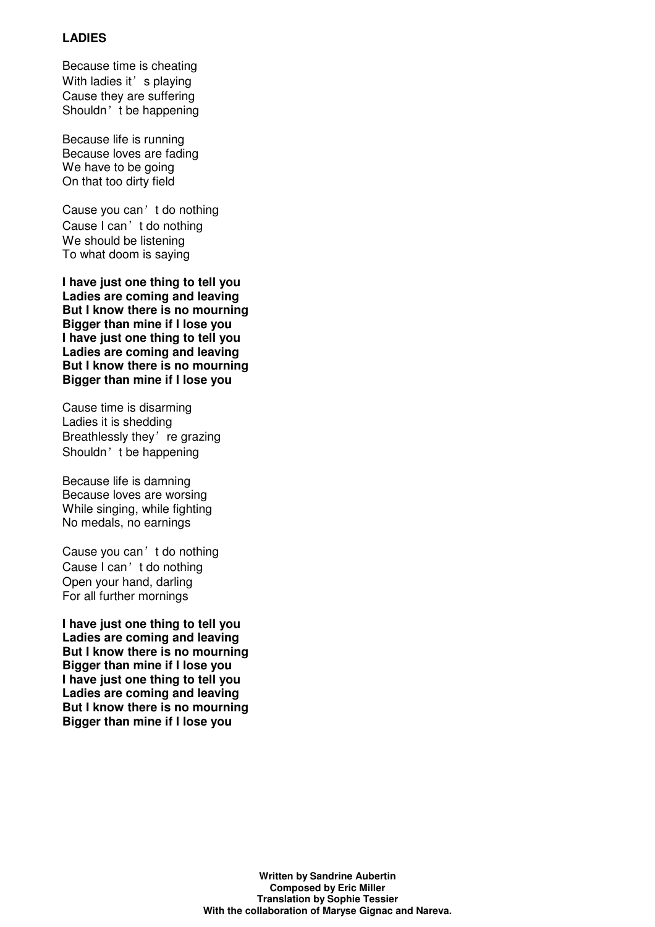# **LADIES**

Because time is cheating With ladies it' s playing Cause they are suffering Shouldn't be happening

Because life is running Because loves are fading We have to be going On that too dirty field

Cause you can't do nothing Cause I can't do nothing We should be listening To what doom is saying

**I have just one thing to tell you Ladies are coming and leaving But I know there is no mourning Bigger than mine if I lose you I have just one thing to tell you Ladies are coming and leaving But I know there is no mourning Bigger than mine if I lose you** 

Cause time is disarming Ladies it is shedding Breathlessly they're grazing Shouldn't be happening

Because life is damning Because loves are worsing While singing, while fighting No medals, no earnings

Cause you can't do nothing Cause I can't do nothing Open your hand, darling For all further mornings

**I have just one thing to tell you Ladies are coming and leaving But I know there is no mourning Bigger than mine if I lose you I have just one thing to tell you Ladies are coming and leaving But I know there is no mourning Bigger than mine if I lose you**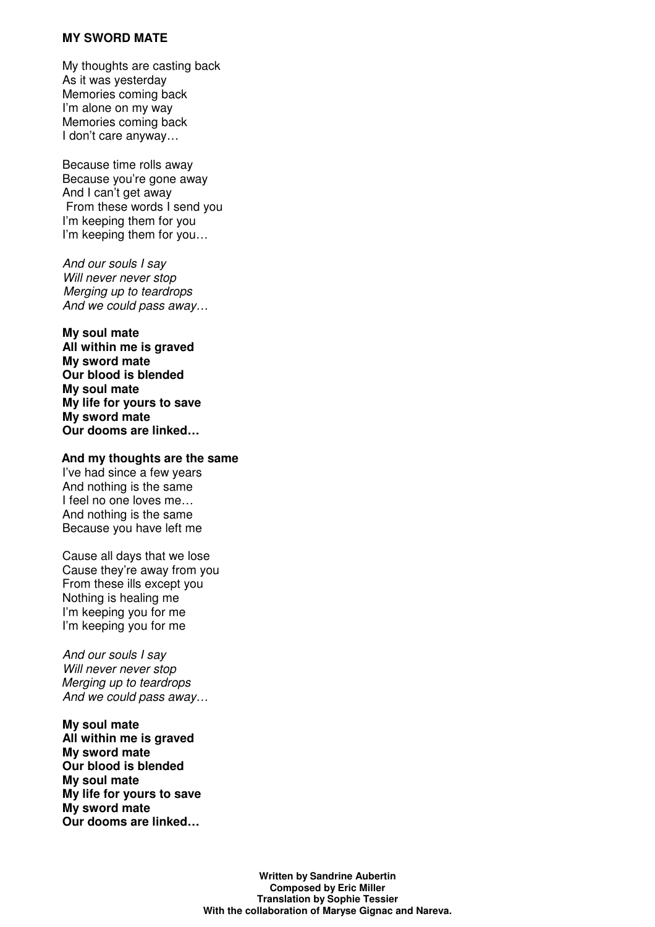#### **MY SWORD MATE**

My thoughts are casting back As it was yesterday Memories coming back I'm alone on my way Memories coming back I don't care anyway…

Because time rolls away Because you're gone away And I can't get away From these words I send you I'm keeping them for you I'm keeping them for you…

And our souls I say Will never never stop Merging up to teardrops And we could pass away…

**My soul mate All within me is graved My sword mate Our blood is blended My soul mate My life for yours to save My sword mate Our dooms are linked…**

#### **And my thoughts are the same**

I've had since a few years And nothing is the same I feel no one loves me… And nothing is the same Because you have left me

Cause all days that we lose Cause they're away from you From these ills except you Nothing is healing me I'm keeping you for me I'm keeping you for me

And our souls I say Will never never stop Merging up to teardrops And we could pass away…

**My soul mate All within me is graved My sword mate Our blood is blended My soul mate My life for yours to save My sword mate Our dooms are linked…**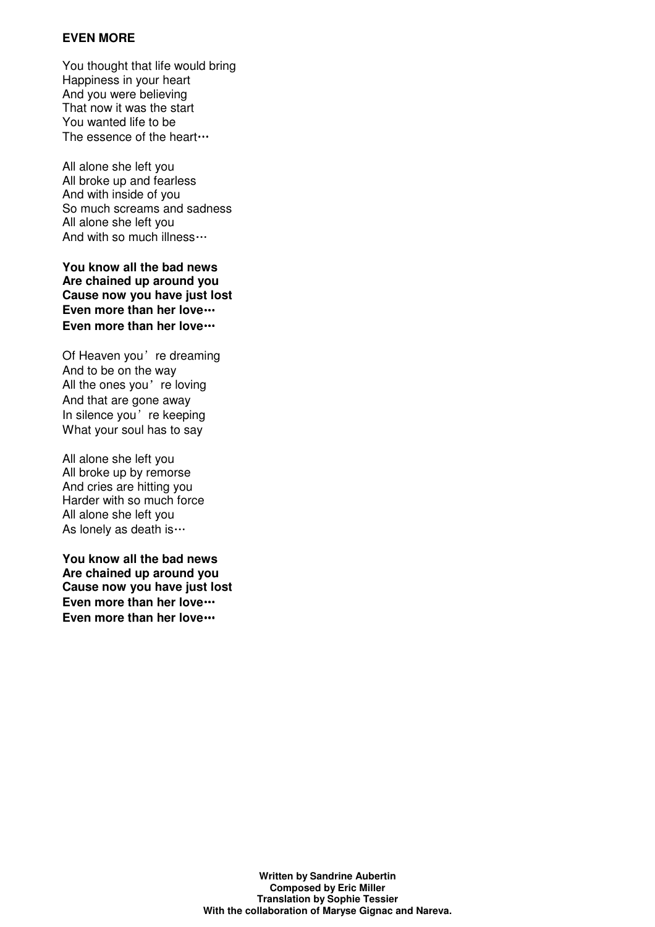## **EVEN MORE**

You thought that life would bring Happiness in your heart And you were believing That now it was the start You wanted life to be The essence of the heart…

All alone she left you All broke up and fearless And with inside of you So much screams and sadness All alone she left you And with so much illness…

**You know all the bad news Are chained up around you Cause now you have just lost Even more than her love**… **Even more than her love**…

Of Heaven you're dreaming And to be on the way All the ones you're loving And that are gone away In silence you're keeping What your soul has to say

All alone she left you All broke up by remorse And cries are hitting you Harder with so much force All alone she left you As lonely as death is…

**You know all the bad news Are chained up around you Cause now you have just lost Even more than her love**… **Even more than her love**…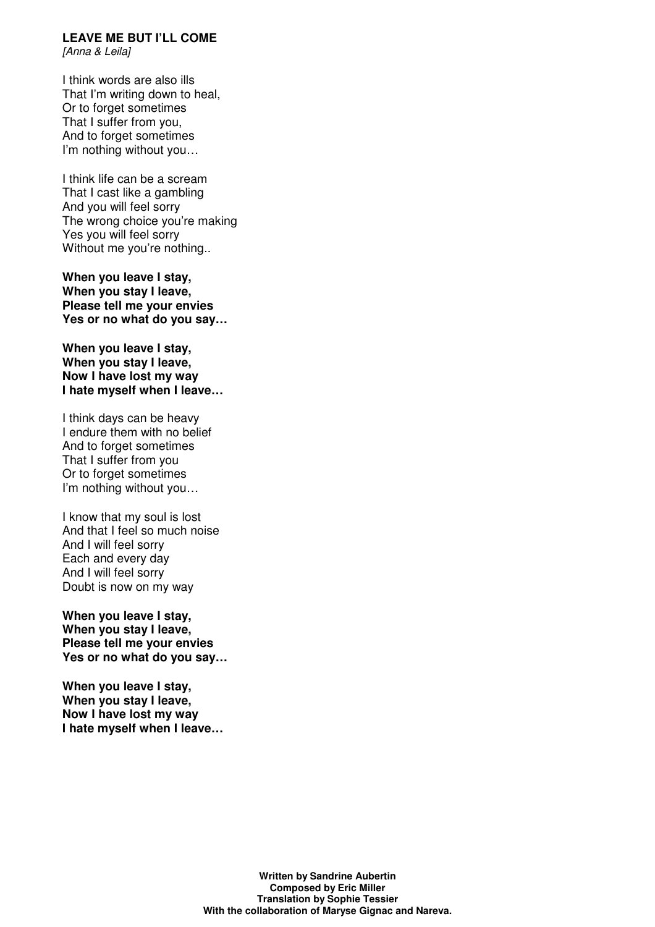# **LEAVE ME BUT I'LL COME**

[Anna & Leila]

I think words are also ills That I'm writing down to heal, Or to forget sometimes That I suffer from you, And to forget sometimes I'm nothing without you…

I think life can be a scream That I cast like a gambling And you will feel sorry The wrong choice you're making Yes you will feel sorry Without me you're nothing..

**When you leave I stay, When you stay I leave, Please tell me your envies Yes or no what do you say…**

**When you leave I stay, When you stay I leave, Now I have lost my way I hate myself when I leave…**

I think days can be heavy I endure them with no belief And to forget sometimes That I suffer from you Or to forget sometimes I'm nothing without you…

I know that my soul is lost And that I feel so much noise And I will feel sorry Each and every day And I will feel sorry Doubt is now on my way

**When you leave I stay, When you stay I leave, Please tell me your envies Yes or no what do you say…**

**When you leave I stay, When you stay I leave, Now I have lost my way I hate myself when I leave…**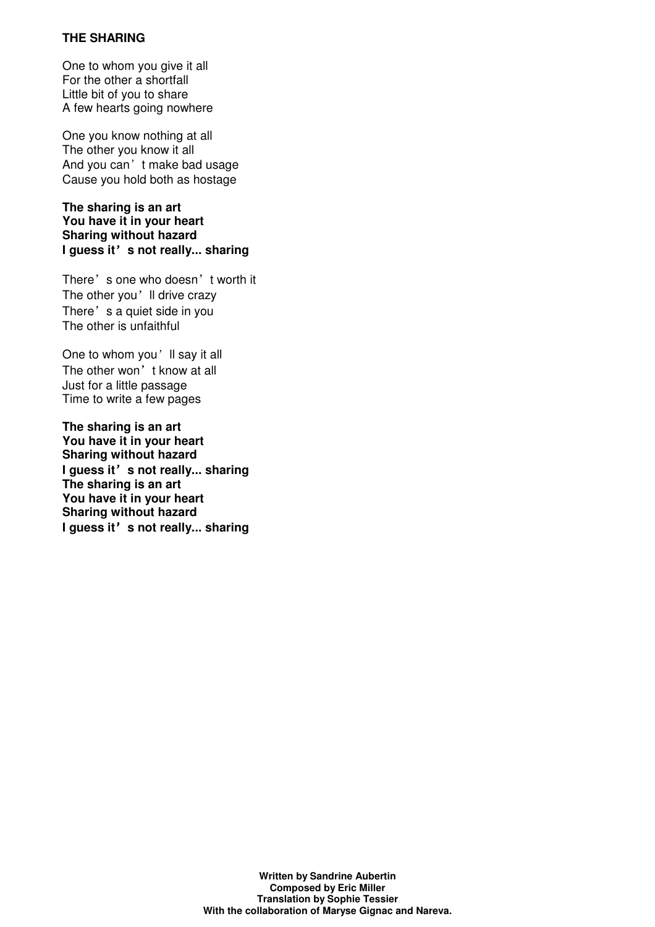# **THE SHARING**

One to whom you give it all For the other a shortfall Little bit of you to share A few hearts going nowhere

One you know nothing at all The other you know it all And you can't make bad usage Cause you hold both as hostage

**The sharing is an art You have it in your heart Sharing without hazard I guess it**'**s not really... sharing**

There's one who doesn't worth it The other you'll drive crazy There's a quiet side in you The other is unfaithful

One to whom you'll say it all The other won't know at all Just for a little passage Time to write a few pages

**The sharing is an art You have it in your heart Sharing without hazard I guess it**'**s not really... sharing The sharing is an art You have it in your heart Sharing without hazard I guess it**'**s not really... sharing**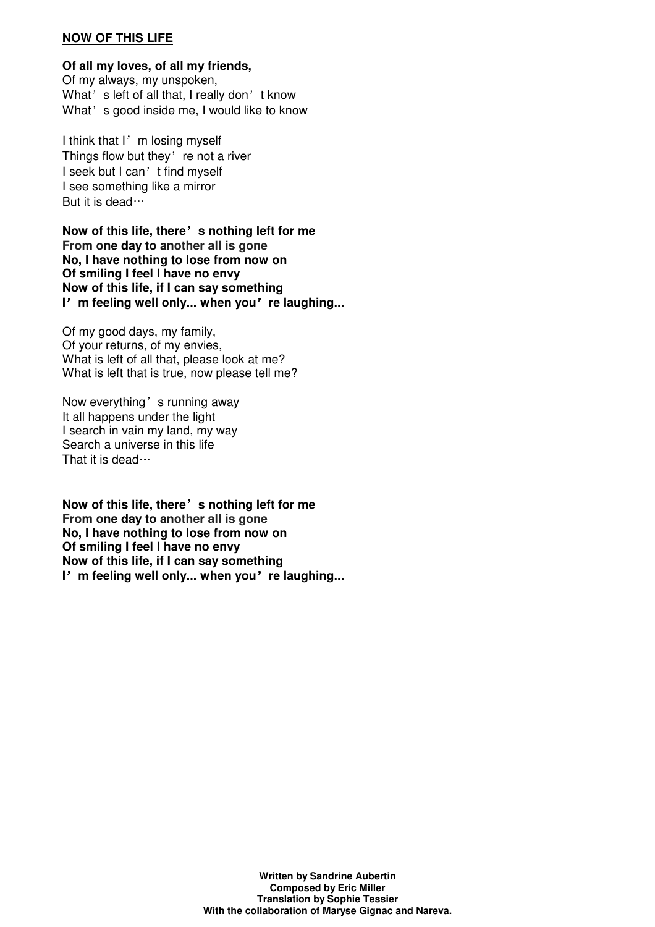#### **NOW OF THIS LIFE**

**Of all my loves, of all my friends,**  Of my always, my unspoken, What's left of all that, I really don't know What's good inside me, I would like to know

I think that I'm losing myself Things flow but they're not a river I seek but I can't find myself I see something like a mirror But it is dead…

**Now of this life, there**'**s nothing left for me From one day to another all is gone No, I have nothing to lose from now on Of smiling I feel I have no envy Now of this life, if I can say something I**'**m feeling well only... when you**'**re laughing...**

Of my good days, my family, Of your returns, of my envies, What is left of all that, please look at me? What is left that is true, now please tell me?

Now everything's running away It all happens under the light I search in vain my land, my way Search a universe in this life That it is dead…

**Now of this life, there**'**s nothing left for me From one day to another all is gone No, I have nothing to lose from now on Of smiling I feel I have no envy Now of this life, if I can say something I**'**m feeling well only... when you**'**re laughing...**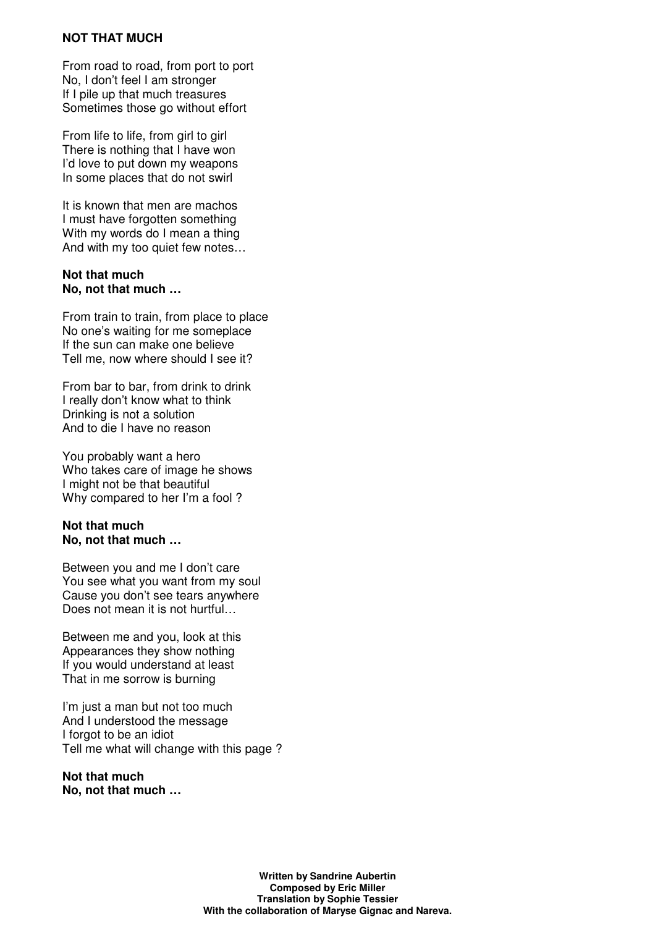#### **NOT THAT MUCH**

From road to road, from port to port No, I don't feel I am stronger If I pile up that much treasures Sometimes those go without effort

From life to life, from girl to girl There is nothing that I have won I'd love to put down my weapons In some places that do not swirl

It is known that men are machos I must have forgotten something With my words do I mean a thing And with my too quiet few notes…

#### **Not that much No, not that much …**

From train to train, from place to place No one's waiting for me someplace If the sun can make one believe Tell me, now where should I see it?

From bar to bar, from drink to drink I really don't know what to think Drinking is not a solution And to die I have no reason

You probably want a hero Who takes care of image he shows I might not be that beautiful Why compared to her I'm a fool ?

# **Not that much No, not that much …**

Between you and me I don't care You see what you want from my soul Cause you don't see tears anywhere Does not mean it is not hurtful...

Between me and you, look at this Appearances they show nothing If you would understand at least That in me sorrow is burning

I'm just a man but not too much And I understood the message I forgot to be an idiot Tell me what will change with this page ?

#### **Not that much No, not that much …**

**Written by Sandrine Aubertin Composed by Eric Miller Translation by Sophie Tessier With the collaboration of Maryse Gignac and Nareva.**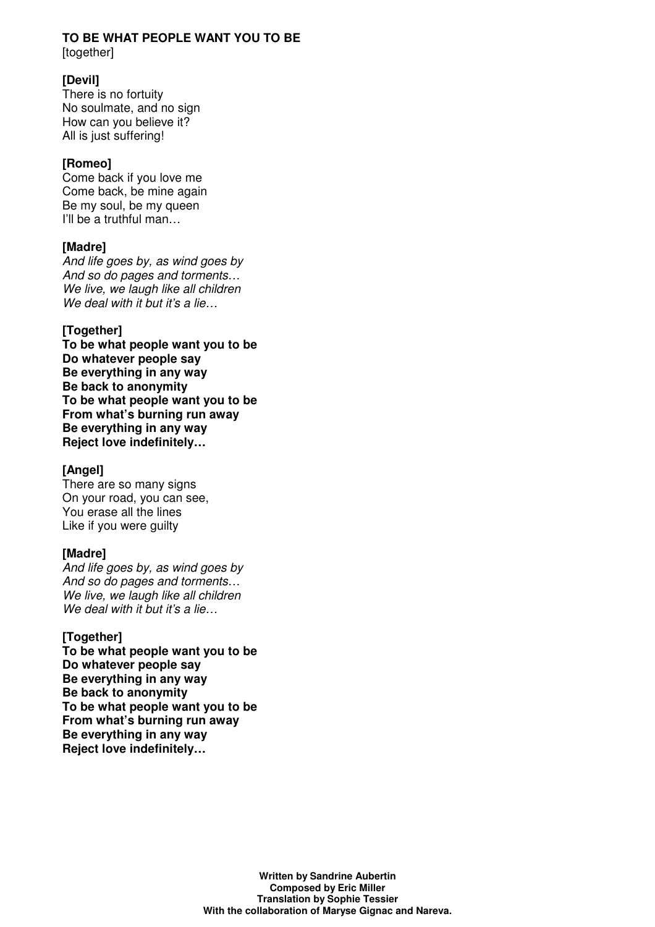#### **TO BE WHAT PEOPLE WANT YOU TO BE**  [together]

# **[Devil]**

There is no fortuity No soulmate, and no sign How can you believe it? All is just suffering!

# **[Romeo]**

Come back if you love me Come back, be mine again Be my soul, be my queen I'll be a truthful man…

# **[Madre]**

And life goes by, as wind goes by And so do pages and torments… We live, we laugh like all children We deal with it but it's a lie...

# **[Together]**

**To be what people want you to be Do whatever people say Be everything in any way Be back to anonymity To be what people want you to be From what's burning run away Be everything in any way Reject love indefinitely…** 

# **[Angel]**

There are so many signs On your road, you can see, You erase all the lines Like if you were guilty

# **[Madre]**

And life goes by, as wind goes by And so do pages and torments… We live, we laugh like all children We deal with it but it's a lie...

# **[Together]**

**To be what people want you to be Do whatever people say Be everything in any way Be back to anonymity To be what people want you to be From what's burning run away Be everything in any way Reject love indefinitely…**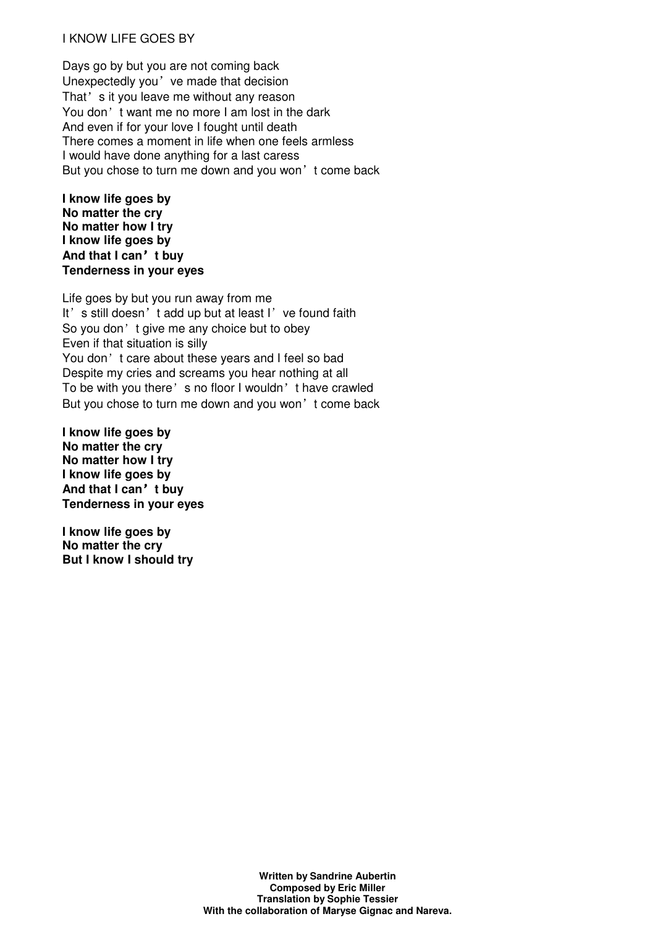## I KNOW LIFE GOES BY

Days go by but you are not coming back Unexpectedly you've made that decision That's it you leave me without any reason You don't want me no more I am lost in the dark And even if for your love I fought until death There comes a moment in life when one feels armless I would have done anything for a last caress But you chose to turn me down and you won't come back

**I know life goes by No matter the cry No matter how I try I know life goes by And that I can**'**t buy Tenderness in your eyes**

Life goes by but you run away from me It's still doesn't add up but at least I've found faith So you don't give me any choice but to obey Even if that situation is silly You don't care about these years and I feel so bad Despite my cries and screams you hear nothing at all To be with you there's no floor I wouldn't have crawled But you chose to turn me down and you won't come back

**I know life goes by No matter the cry No matter how I try I know life goes by And that I can**'**t buy Tenderness in your eyes**

**I know life goes by No matter the cry But I know I should try**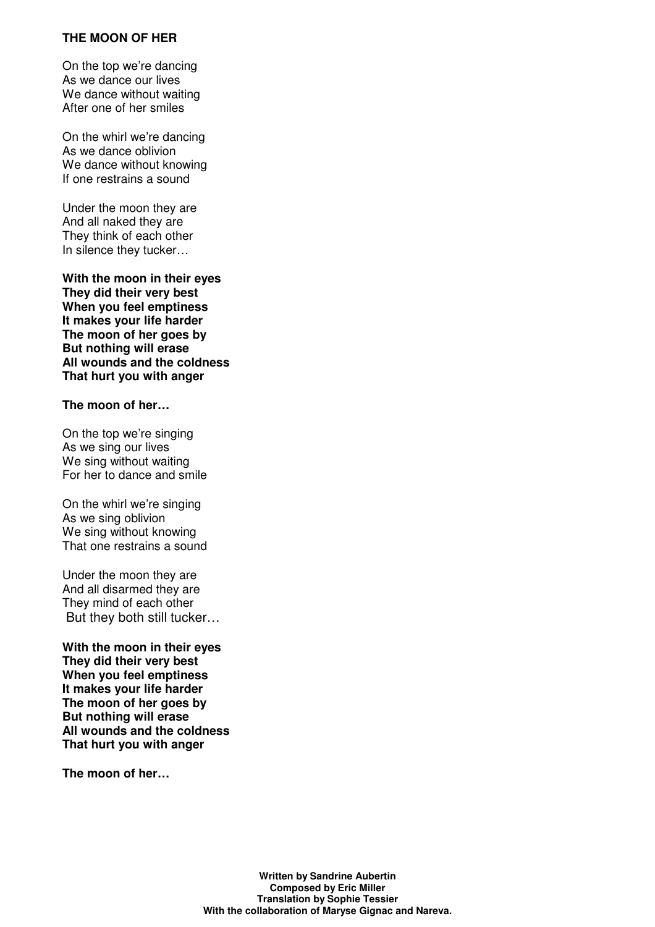#### **THE MOON OF HER**

On the top we're dancing As we dance our lives We dance without waiting After one of her smiles

On the whirl we're dancing As we dance oblivion We dance without knowing If one restrains a sound

Under the moon they are And all naked they are They think of each other In silence they tucker…

**With the moon in their eyes They did their very best When you feel emptiness It makes your life harder The moon of her goes by But nothing will erase All wounds and the coldness That hurt you with anger** 

#### **The moon of her…**

On the top we're singing As we sing our lives We sing without waiting For her to dance and smile

On the whirl we're singing As we sing oblivion We sing without knowing That one restrains a sound

Under the moon they are And all disarmed they are They mind of each other But they both still tucker…

**With the moon in their eyes They did their very best When you feel emptiness It makes your life harder The moon of her goes by But nothing will erase All wounds and the coldness That hurt you with anger**

**The moon of her…**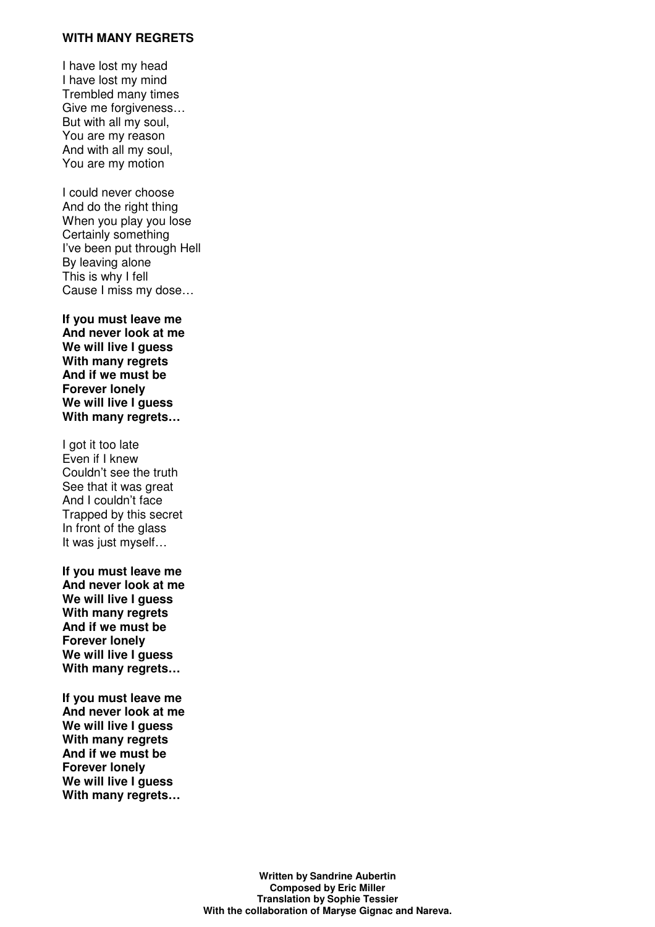### **WITH MANY REGRETS**

I have lost my head I have lost my mind Trembled many times Give me forgiveness… But with all my soul, You are my reason And with all my soul, You are my motion

I could never choose And do the right thing When you play you lose Certainly something I've been put through Hell By leaving alone This is why I fell Cause I miss my dose…

**If you must leave me And never look at me We will live I guess With many regrets And if we must be Forever lonely We will live I guess With many regrets…**

I got it too late Even if I knew Couldn't see the truth See that it was great And I couldn't face Trapped by this secret In front of the glass It was just myself…

**If you must leave me And never look at me We will live I guess With many regrets And if we must be Forever lonely We will live I guess With many regrets…**

**If you must leave me And never look at me We will live I guess With many regrets And if we must be Forever lonely We will live I guess With many regrets…**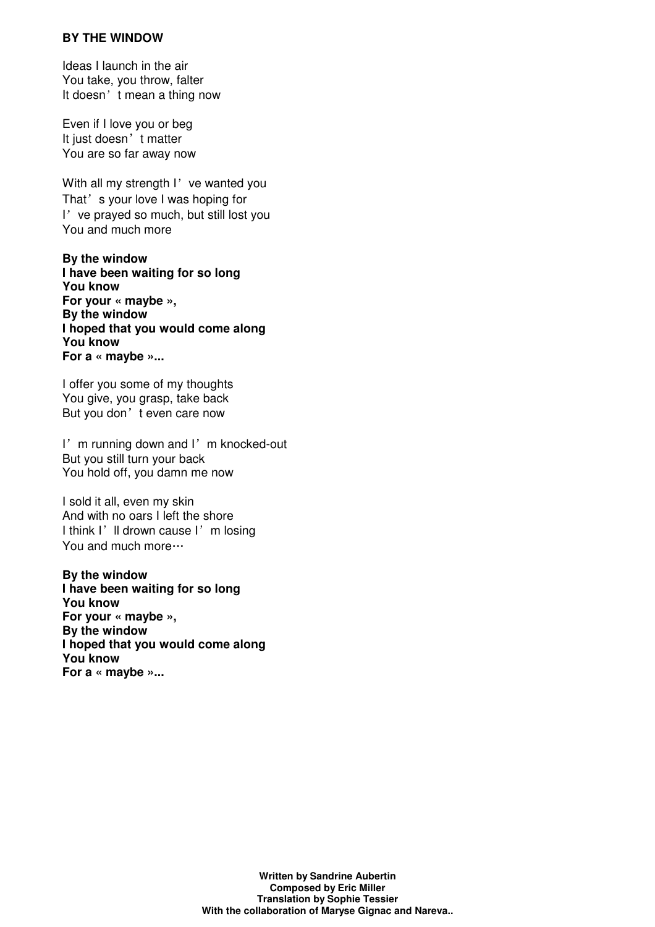### **BY THE WINDOW**

Ideas I launch in the air You take, you throw, falter It doesn't mean a thing now

Even if I love you or beg It just doesn't matter You are so far away now

With all my strength I've wanted you That's your love I was hoping for I've prayed so much, but still lost you You and much more

**By the window I have been waiting for so long You know For your « maybe », By the window I hoped that you would come along You know For a « maybe »...**

I offer you some of my thoughts You give, you grasp, take back But you don't even care now

I'm running down and I'm knocked-out But you still turn your back You hold off, you damn me now

I sold it all, even my skin And with no oars I left the shore I think I'll drown cause I'm losing You and much more…

**By the window I have been waiting for so long You know For your « maybe », By the window I hoped that you would come along You know For a « maybe »...**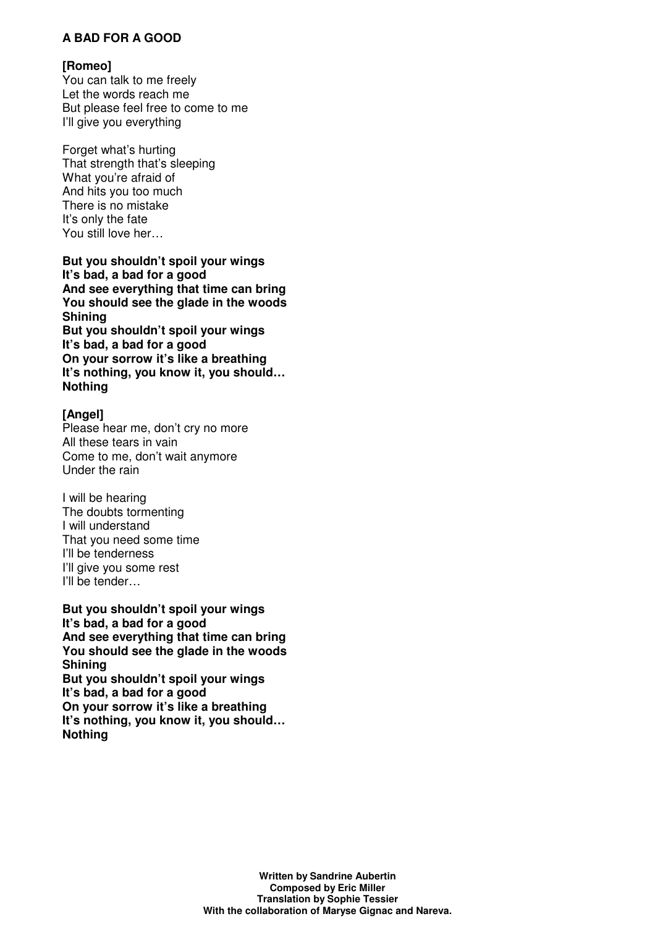# **A BAD FOR A GOOD**

### **[Romeo]**

You can talk to me freely Let the words reach me But please feel free to come to me I'll give you everything

Forget what's hurting That strength that's sleeping What you're afraid of And hits you too much There is no mistake It's only the fate You still love her…

**But you shouldn't spoil your wings It's bad, a bad for a good And see everything that time can bring You should see the glade in the woods Shining But you shouldn't spoil your wings It's bad, a bad for a good On your sorrow it's like a breathing It's nothing, you know it, you should… Nothing**

# **[Angel]**

Please hear me, don't cry no more All these tears in vain Come to me, don't wait anymore Under the rain

I will be hearing The doubts tormenting I will understand That you need some time I'll be tenderness I'll give you some rest I'll be tender…

**But you shouldn't spoil your wings It's bad, a bad for a good And see everything that time can bring You should see the glade in the woods Shining But you shouldn't spoil your wings It's bad, a bad for a good On your sorrow it's like a breathing It's nothing, you know it, you should… Nothing**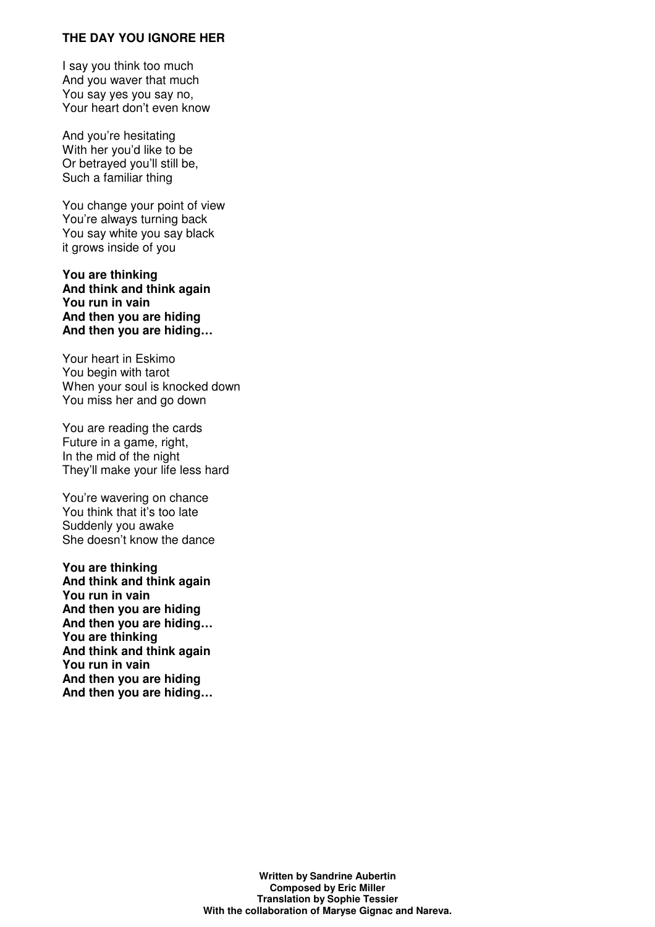#### **THE DAY YOU IGNORE HER**

I say you think too much And you waver that much You say yes you say no, Your heart don't even know

And you're hesitating With her you'd like to be Or betrayed you'll still be, Such a familiar thing

You change your point of view You're always turning back You say white you say black it grows inside of you

**You are thinking And think and think again You run in vain And then you are hiding And then you are hiding…**

Your heart in Eskimo You begin with tarot When your soul is knocked down You miss her and go down

You are reading the cards Future in a game, right, In the mid of the night They'll make your life less hard

You're wavering on chance You think that it's too late Suddenly you awake She doesn't know the dance

**You are thinking And think and think again You run in vain And then you are hiding And then you are hiding… You are thinking And think and think again You run in vain And then you are hiding And then you are hiding…**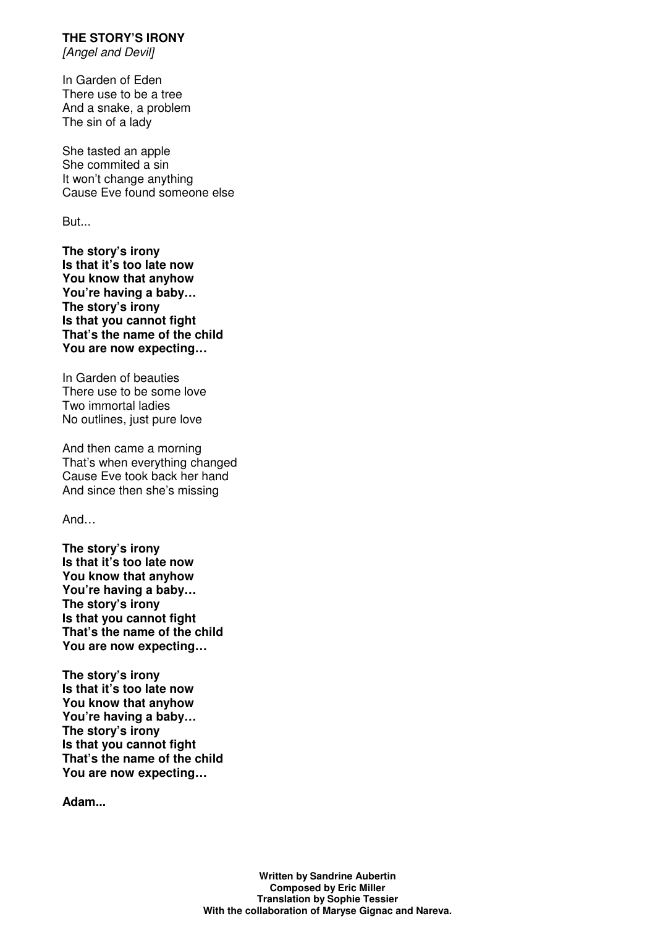**THE STORY'S IRONY** 

[Angel and Devil]

In Garden of Eden There use to be a tree And a snake, a problem The sin of a lady

She tasted an apple She commited a sin It won't change anything Cause Eve found someone else

But...

**The story's irony Is that it's too late now You know that anyhow You're having a baby… The story's irony Is that you cannot fight That's the name of the child You are now expecting…**

In Garden of beauties There use to be some love Two immortal ladies No outlines, just pure love

And then came a morning That's when everything changed Cause Eve took back her hand And since then she's missing

And…

**The story's irony Is that it's too late now You know that anyhow You're having a baby… The story's irony Is that you cannot fight That's the name of the child You are now expecting…**

**The story's irony Is that it's too late now You know that anyhow You're having a baby… The story's irony Is that you cannot fight That's the name of the child You are now expecting…**

**Adam...**